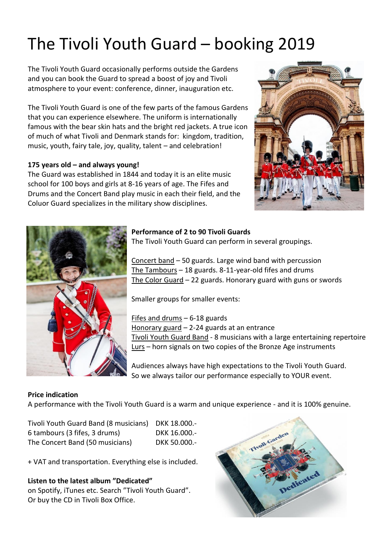# The Tivoli Youth Guard – booking 2019

The Tivoli Youth Guard occasionally performs outside the Gardens and you can book the Guard to spread a boost of joy and Tivoli atmosphere to your event: conference, dinner, inauguration etc.

The Tivoli Youth Guard is one of the few parts of the famous Gardens that you can experience elsewhere. The uniform is internationally famous with the bear skin hats and the bright red jackets. A true icon of much of what Tivoli and Denmark stands for: kingdom, tradition, music, youth, fairy tale, joy, quality, talent – and celebration!

## **175 years old – and always young!**

The Guard was established in 1844 and today it is an elite music school for 100 boys and girls at 8-16 years of age. The Fifes and Drums and the Concert Band play music in each their field, and the Coluor Guard specializes in the military show disciplines.





## **Performance of 2 to 90 Tivoli Guards**

The Tivoli Youth Guard can perform in several groupings.

Concert band – 50 guards. Large wind band with percussion The Tambours – 18 guards. 8-11-year-old fifes and drums The Color Guard – 22 guards. Honorary guard with guns or swords

Smaller groups for smaller events:

Fifes and drums – 6-18 guards Honorary guard – 2-24 guards at an entrance Tivoli Youth Guard Band - 8 musicians with a large entertaining repertoire Lurs – horn signals on two copies of the Bronze Age instruments

Audiences always have high expectations to the Tivoli Youth Guard. So we always tailor our performance especially to YOUR event.

# **Price indication**

A performance with the Tivoli Youth Guard is a warm and unique experience - and it is 100% genuine.

Tivoli Youth Guard Band (8 musicians) DKK 18.000.- 6 tambours (3 fifes, 3 drums) DKK 16.000.- The Concert Band (50 musicians) DKK 50.000.-

+ VAT and transportation. Everything else is included.

**Listen to the latest album "Dedicated"** on Spotify, iTunes etc. Search "Tivoli Youth Guard". Or buy the CD in Tivoli Box Office.